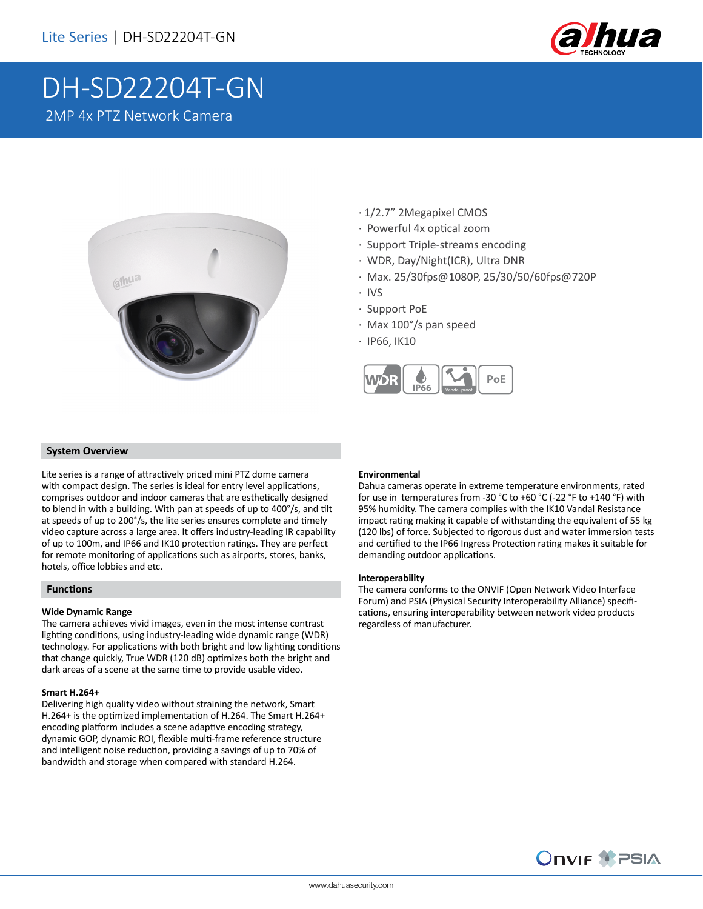

# DH-SD22204T-GN 2MP 4x PTZ Network Camera



- · 1/2.7" 2Megapixel CMOS
- · Powerful 4x optical zoom
- · Support Triple-streams encoding
- · WDR, Day/Night(ICR), Ultra DNR
- · Max. 25/30fps@1080P, 25/30/50/60fps@720P
- · IVS
- · Support PoE
- · Max 100°/s pan speed
- · IP66, IK10



#### **System Overview**

Lite series is a range of attractively priced mini PTZ dome camera with compact design. The series is ideal for entry level applications, comprises outdoor and indoor cameras that are esthetically designed to blend in with a building. With pan at speeds of up to 400°/s, and tilt at speeds of up to 200°/s, the lite series ensures complete and timely video capture across a large area. It offers industry-leading IR capability of up to 100m, and IP66 and IK10 protection ratings. They are perfect for remote monitoring of applications such as airports, stores, banks, hotels, office lobbies and etc.

#### **Functions**

#### **Wide Dynamic Range**

The camera achieves vivid images, even in the most intense contrast lighting conditions, using industry-leading wide dynamic range (WDR) technology. For applications with both bright and low lighting conditions that change quickly, True WDR (120 dB) optimizes both the bright and dark areas of a scene at the same time to provide usable video.

#### **Smart H.264+**

Delivering high quality video without straining the network, Smart H.264+ is the optimized implementation of H.264. The Smart H.264+ encoding platform includes a scene adaptive encoding strategy, dynamic GOP, dynamic ROI, flexible multi-frame reference structure and intelligent noise reduction, providing a savings of up to 70% of bandwidth and storage when compared with standard H.264.

#### **Environmental**

Dahua cameras operate in extreme temperature environments, rated for use in temperatures from -30 °C to +60 °C (-22 °F to +140 °F) with 95% humidity. The camera complies with the IK10 Vandal Resistance impact rating making it capable of withstanding the equivalent of 55 kg (120 lbs) of force. Subjected to rigorous dust and water immersion tests and certified to the IP66 Ingress Protection rating makes it suitable for demanding outdoor applications.

#### **Interoperability**

The camera conforms to the ONVIF (Open Network Video Interface Forum) and PSIA (Physical Security Interoperability Alliance) specifications, ensuring interoperability between network video products regardless of manufacturer.

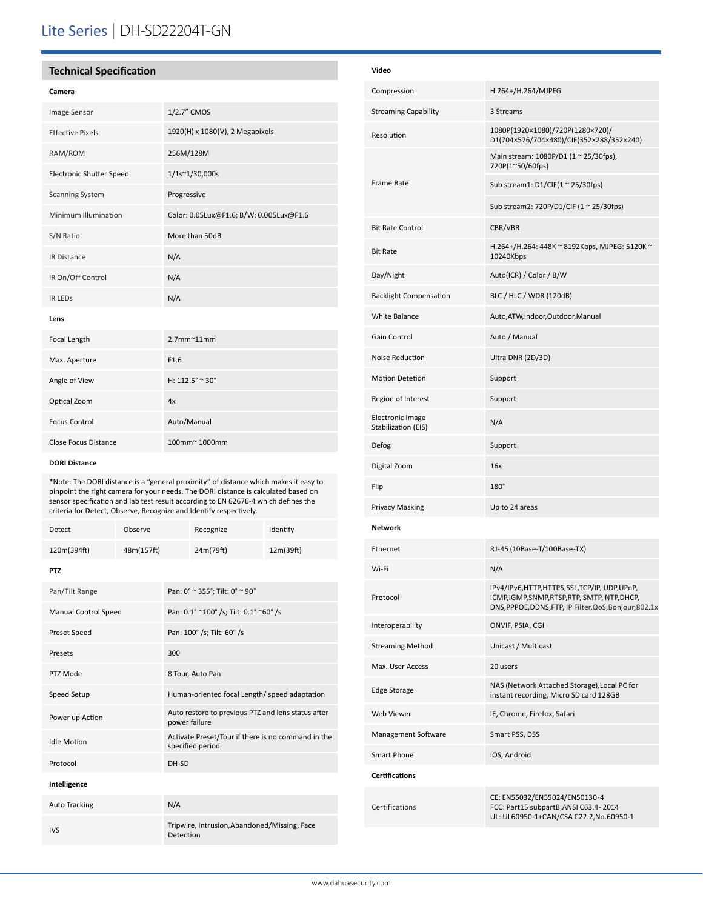# Lite Series | DH-SD22204T-GN

## **Technical Specification**

#### **Camera**

| <b>Image Sensor</b>             | 1/2.7" CMOS                             |
|---------------------------------|-----------------------------------------|
| <b>Effective Pixels</b>         | 1920(H) x 1080(V), 2 Megapixels         |
| RAM/ROM                         | 256M/128M                               |
| <b>Electronic Shutter Speed</b> | 1/1s~1/30,000s                          |
| <b>Scanning System</b>          | Progressive                             |
| Minimum Illumination            | Color: 0.05Lux@F1.6; B/W: 0.005Lux@F1.6 |
| S/N Ratio                       | More than 50dB                          |
| <b>IR Distance</b>              | N/A                                     |
| IR On/Off Control               | N/A                                     |
| <b>IR LEDS</b>                  | N/A                                     |
| Lens                            |                                         |
| Focal Length                    | $2.7$ mm $^{\sim}$ 11mm                 |
| Max. Aperture                   | F1.6                                    |
| Angle of View                   | H: 112.5° ~ 30°                         |
| Optical Zoom                    | 4x                                      |
| <b>Focus Control</b>            | Auto/Manual                             |
| Close Focus Distance            | 100mm~1000mm                            |

#### **DORI Distance**

\*Note: The DORI distance is a "general proximity" of distance which makes it easy to pinpoint the right camera for your needs. The DORI distance is calculated based on sensor specification and lab test result according to EN 62676-4 which defines the criteria for Detect, Observe, Recognize and Identify respectively.

| Detect                      | Observe    |                                                                        | Recognize | Identify  |  |
|-----------------------------|------------|------------------------------------------------------------------------|-----------|-----------|--|
| 120m(394ft)                 | 48m(157ft) |                                                                        | 24m(79ft) | 12m(39ft) |  |
| <b>PTZ</b>                  |            |                                                                        |           |           |  |
| Pan/Tilt Range              |            | Pan: 0° ~ 355°; Tilt: 0° ~ 90°                                         |           |           |  |
| <b>Manual Control Speed</b> |            | Pan: 0.1° ~100° /s; Tilt: 0.1° ~60° /s                                 |           |           |  |
| Preset Speed                |            | Pan: 100° /s; Tilt: 60° /s                                             |           |           |  |
| Presets                     |            | 300                                                                    |           |           |  |
| PTZ Mode                    |            | 8 Tour, Auto Pan                                                       |           |           |  |
| Speed Setup                 |            | Human-oriented focal Length/ speed adaptation                          |           |           |  |
| Power up Action             |            | Auto restore to previous PTZ and lens status after<br>power failure    |           |           |  |
| <b>Idle Motion</b>          |            | Activate Preset/Tour if there is no command in the<br>specified period |           |           |  |
| Protocol                    |            | DH-SD                                                                  |           |           |  |
| Intelligence                |            |                                                                        |           |           |  |
| <b>Auto Tracking</b>        |            | N/A                                                                    |           |           |  |
| <b>IVS</b>                  |            | Tripwire, Intrusion, Abandoned/Missing, Face<br>Detection              |           |           |  |

| Video                                          |                                                                                                                                                       |
|------------------------------------------------|-------------------------------------------------------------------------------------------------------------------------------------------------------|
| Compression                                    | H.264+/H.264/MJPEG                                                                                                                                    |
| <b>Streaming Capability</b>                    | 3 Streams                                                                                                                                             |
| Resolution                                     | 1080P(1920×1080)/720P(1280×720)/<br>D1(704×576/704×480)/CIF(352×288/352×240)                                                                          |
|                                                | Main stream: 1080P/D1 (1 ~ 25/30fps),<br>720P(1~50/60fps)                                                                                             |
| Frame Rate                                     | Sub stream1: $D1/CIF(1 ~ 25/30fps)$                                                                                                                   |
|                                                | Sub stream2: 720P/D1/CIF (1 ~ 25/30fps)                                                                                                               |
| <b>Bit Rate Control</b>                        | CBR/VBR                                                                                                                                               |
| <b>Bit Rate</b>                                | H.264+/H.264: 448K ~ 8192Kbps, MJPEG: 5120K ~<br>10240Kbps                                                                                            |
| Day/Night                                      | Auto(ICR) / Color / B/W                                                                                                                               |
| <b>Backlight Compensation</b>                  | BLC / HLC / WDR (120dB)                                                                                                                               |
| White Balance                                  | Auto, ATW, Indoor, Outdoor, Manual                                                                                                                    |
| <b>Gain Control</b>                            | Auto / Manual                                                                                                                                         |
| Noise Reduction                                | Ultra DNR (2D/3D)                                                                                                                                     |
| <b>Motion Detetion</b>                         | Support                                                                                                                                               |
| Region of Interest                             | Support                                                                                                                                               |
| <b>Electronic Image</b><br>Stabilization (EIS) | N/A                                                                                                                                                   |
| Defog                                          | Support                                                                                                                                               |
| Digital Zoom                                   | 16x                                                                                                                                                   |
| Flip                                           | $180^\circ$                                                                                                                                           |
| <b>Privacy Masking</b>                         | Up to 24 areas                                                                                                                                        |
| <b>Network</b>                                 |                                                                                                                                                       |
| Ethernet                                       | RJ-45 (10Base-T/100Base-TX)                                                                                                                           |
| Wi-Fi                                          | N/A                                                                                                                                                   |
| Protocol                                       | IPv4/IPv6,HTTP,HTTPS,SSL,TCP/IP, UDP,UPnP,<br>ICMP, IGMP, SNMP, RTSP, RTP, SMTP, NTP, DHCP,<br>DNS, PPPOE, DDNS, FTP, IP Filter, QoS, Bonjour, 802.1x |
| Interoperability                               | ONVIF, PSIA, CGI                                                                                                                                      |
| <b>Streaming Method</b>                        | Unicast / Multicast                                                                                                                                   |
| Max. User Access                               | 20 users                                                                                                                                              |
| <b>Edge Storage</b>                            | NAS (Network Attached Storage), Local PC for<br>instant recording, Micro SD card 128GB                                                                |
| Web Viewer                                     | IE, Chrome, Firefox, Safari                                                                                                                           |
| Management Software                            | Smart PSS, DSS                                                                                                                                        |
| Smart Phone                                    | IOS, Android                                                                                                                                          |
| <b>Certifications</b>                          |                                                                                                                                                       |
| Certifications                                 | CE: EN55032/EN55024/EN50130-4<br>FCC: Part15 subpartB, ANSI C63.4-2014<br>UL: UL60950-1+CAN/CSA C22.2,No.60950-1                                      |
|                                                |                                                                                                                                                       |